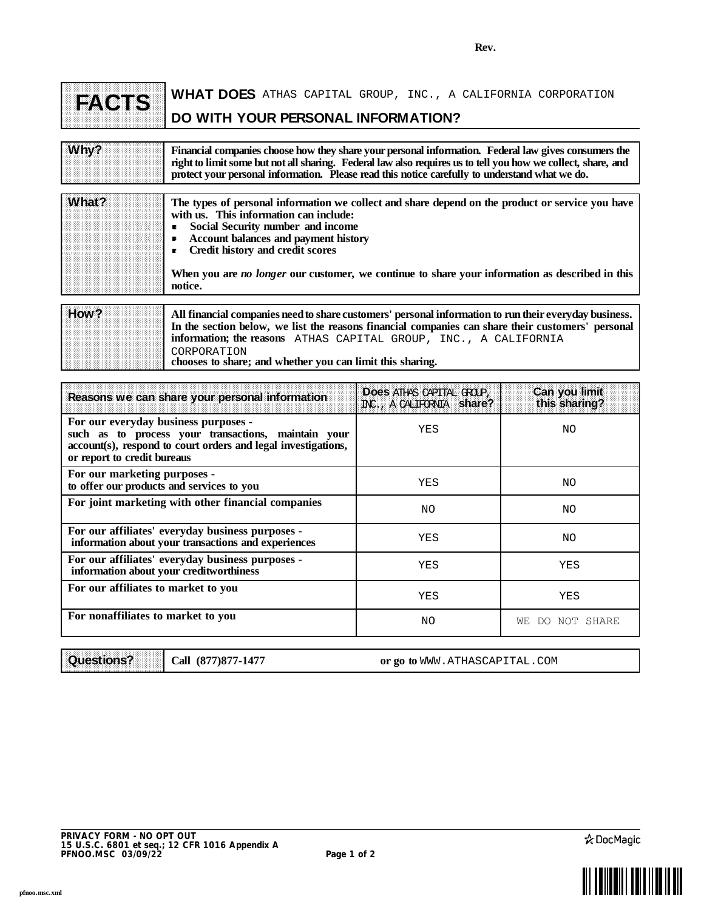**Rev.**

| <b>FACTS</b> | <b>WHAT DOES</b> ATHAS CAPITAL GROUP, INC., A CALIFORNIA CORPORATION |  |  |  |  |
|--------------|----------------------------------------------------------------------|--|--|--|--|
|              | DO WITH YOUR PERSONAL INFORMATION?                                   |  |  |  |  |

| Why?  | Financial companies choose how they share your personal information. Federal law gives consumers the<br>right to limit some but not all sharing. Federal law also requires us to tell you how we collect, share, and<br>protect your personal information. Please read this notice carefully to understand what we do. |
|-------|------------------------------------------------------------------------------------------------------------------------------------------------------------------------------------------------------------------------------------------------------------------------------------------------------------------------|
| What? | The types of personal information we collect and share depend on the product or service you have<br>with us. This information can include:<br>Social Security number and income<br>в<br><b>Account balances and payment history</b><br>Credit history and credit scores<br>$\blacksquare$                              |
|       | When you are <i>no longer</i> our customer, we continue to share your information as described in this<br>notice.                                                                                                                                                                                                      |
| How?  | All financial companies need to share customers' personal information to run their everyday business.<br>In the section below, we list the reasons financial companies can share their customers' personal<br>information; the reasons ATHAS CAPITAL GROUP, INC., A CALIFORNIA                                         |

**chooses to share; and whether you can limit this sharing.**

| Reasons we can share your personal information                                                                                                                                              | Does at tas capital GCOP,<br>INC., A CALIFORNIA Share? | Can you limit<br>this sharing? |
|---------------------------------------------------------------------------------------------------------------------------------------------------------------------------------------------|--------------------------------------------------------|--------------------------------|
| For our everyday business purposes -<br>such as to process your transactions, maintain your<br>account(s), respond to court orders and legal investigations,<br>or report to credit bureaus | YES                                                    | ΝO                             |
| For our marketing purposes -<br>to offer our products and services to you                                                                                                                   | YES                                                    | ΝO                             |
| For joint marketing with other financial companies                                                                                                                                          | NO.                                                    | ΝO                             |
| For our affiliates' everyday business purposes -<br>information about your transactions and experiences                                                                                     | YES                                                    | NΟ                             |
| For our affiliates' everyday business purposes -<br>information about your creditworthiness                                                                                                 | YES                                                    | YES                            |
| For our affiliates to market to you                                                                                                                                                         | YES                                                    | YES                            |
| For nonaffiliates to market to you                                                                                                                                                          | NO.                                                    | WЕ<br>NOT SHARE<br>DO.         |

|  |  |  |  |  | Questions? | Call (877 |  |
|--|--|--|--|--|------------|-----------|--|
|  |  |  |  |  |            |           |  |

**(877)877-1477 Call or go to**

CORPORATION

or go to WWW.ATHASCAPITAL.COM



٦